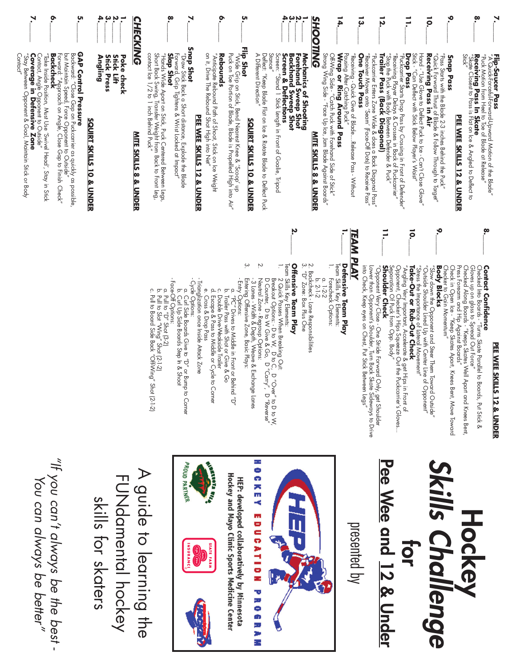|                                                                                                                                                                                                                  | ۶                                                                    | 'n.                                                                                                                                                                                           | ą.<br>بہ<br>Ņ<br>$\mathbf{r}$                             | <b>CHECKING</b>                  | ෨                                                                                                                                                                                                                                             |                                                                              |                                                                         | ō                                                                  | ທ                                                                                                                                  |                                                     |                                                                            | ą.                                                                                  | ω                                                                      | <b>SHOOTING</b>                                         |                                                                                                                       | 14.                                                                                                                                        | ដូ                                                                                   | IJ.                                                                                                                                                                                                           |                                                                                     | $\vec{=}$                                                                                                                             | $\overline{5}$                                                                                                                                         | ়০                                                    | စု                                                                                                                                                              | N,                                                                                      |
|------------------------------------------------------------------------------------------------------------------------------------------------------------------------------------------------------------------|----------------------------------------------------------------------|-----------------------------------------------------------------------------------------------------------------------------------------------------------------------------------------------|-----------------------------------------------------------|----------------------------------|-----------------------------------------------------------------------------------------------------------------------------------------------------------------------------------------------------------------------------------------------|------------------------------------------------------------------------------|-------------------------------------------------------------------------|--------------------------------------------------------------------|------------------------------------------------------------------------------------------------------------------------------------|-----------------------------------------------------|----------------------------------------------------------------------------|-------------------------------------------------------------------------------------|------------------------------------------------------------------------|---------------------------------------------------------|-----------------------------------------------------------------------------------------------------------------------|--------------------------------------------------------------------------------------------------------------------------------------------|--------------------------------------------------------------------------------------|---------------------------------------------------------------------------------------------------------------------------------------------------------------------------------------------------------------|-------------------------------------------------------------------------------------|---------------------------------------------------------------------------------------------------------------------------------------|--------------------------------------------------------------------------------------------------------------------------------------------------------|-------------------------------------------------------|-----------------------------------------------------------------------------------------------------------------------------------------------------------------|-----------------------------------------------------------------------------------------|
| Contact"<br>"Stay Between Opponent &<br>"Take Inside Position, Must Use 'Swivel Head', Stay in Stick<br>Contact, Angle Opponent to Outside"<br><b>Coverage in Defensive Zone</b><br>Goal, Maintain Stick or Body | Forward: "Approach on Angle, Close Gap to Finish Check"<br>Backcheck | <b>GAP Control Pressure</b><br>Backward: "Close Gap on Puckcarrier as quickly as possible.<br>but Maintain Speed, Force Opponent to Outside"<br><b>SQUIRT SKILLS</b><br><b>10 &amp; UNDER</b> | <b>Stick Press</b><br>Stick<br>Poke check<br>Angling<br>Ş | <b>MITE SKILLS 8 &amp; UNDER</b> | Short Back Swing, Transfer Weight from Back to Front Leg<br>Short Back Swing, Transfer Weight from<br>Forward, Grip Tightens & Wrist Locked at Impact"<br><b>Slap Shot</b><br>"Hands Wide Apa <u>rt</u> on Sitck, Puck Centered Between Legs, | Snap Shot<br>Draw Stick Back a Short distance, Explode the Blade             | on it, Dire The Rebound Shot High into Net<br>PEE WEE SKILLS 12 & UNDER | "Anticipate Rebound Path of Shoot, Stick on Ice Weight<br>Rebounds | Flip Shot<br>Puck on Toe Portion of Blade, Blade is Propelled High into Air"<br>Wide Grip on Stick, Bend Nearest Knee & 'Scoop' up | A Different Direction"<br>SQUIRT SKILLS 10 & UNDER  | Deflect: "Keep Blade Flat on Ice & Rotate Blade to Deflect Puck<br>Stance" | Screen:<br>Screen & Deflections<br>"Stand 1 Stick Length in Front of Goalie, Tripod | Forehand<br>Backhand Sweep Shot<br>Mechanics of Shooting<br>Sweep Shot | <b>MITE SKILLS 8 &amp; UNDER</b>                        | OffWing Side - "Catch Puck with Forehand Side of Sirck"<br>Strong Wing Side - "Face Up Ice, Jam Blade Against Boards" | Pausing After<br>Wrap or Ring Around Pass<br>"Xeceiving - Quick Give of Blade:::Release Pass - XViffon<br>Catching Puck"<br>Catching Puck" | "Receiver Moves onto 'Seam' (Face-Off Dots) to Receive Pass<br><b>One Touch Pass</b> | Trailer Pass (Back Diagonal)<br>"Receiving Player Delays & Crosses in Back of Puckcarrier"<br>"Siop the Puck with Body Between Defender & Puck"<br>"Puckcarrier Enters Zone Wide & does a Back Diagonal Pass" | "Huckcarrier Starts Drop Pass by Crossing in Front of Defender"                     | Drop Pass<br>Stick - "Can Deflect with Stick Below Player's Waist"<br>Hand - "Use<br>Glove to Deflect Puck to Ice - Can't Close Glove | "Quick Forward Thrust of Blac<br>Receiving Pass in Air<br>"Pass Starts with the Blade 2-3 inches Behind the Puck"<br>Blade & Follow Through to Target" | Snap Pass<br>PEE WEE SKILLS 12 & UNDER                | <b>Receiving Pass In Skate</b><br>"Skate Closest to Pass is Flat on Ice & Angled to Deflect to<br>Stick"<br>"Puck Motion from Heel to Toe of Blade at Release." | <b>Flip-Saucer Pass</b><br>"A QuickForcetulForward- <u>I</u> pward Motion of the Blade" |
|                                                                                                                                                                                                                  |                                                                      |                                                                                                                                                                                               |                                                           |                                  |                                                                                                                                                                                                                                               |                                                                              |                                                                         |                                                                    |                                                                                                                                    |                                                     |                                                                            |                                                                                     | Ņ                                                                      |                                                         |                                                                                                                       |                                                                                                                                            |                                                                                      | $\equiv$                                                                                                                                                                                                      |                                                                                     | ō.                                                                                                                                    | ە.                                                                                                                                                     |                                                       |                                                                                                                                                                 |                                                                                         |
|                                                                                                                                                                                                                  |                                                                      |                                                                                                                                                                                               |                                                           |                                  | c. Pull to Board Si<br>a. Pull to "D" Sho<br>b. Pull to Slot "W                                                                                                                                                                               | FaceOff Options:<br>Cycle Options:<br>b. Curl Up Side B<br>a. Curl Side Boar | Trianglization once lr<br>e. Cross & Drop I                             | <u>م</u> .<br>$\Omega$<br>Double Drive-V<br>Escape & Pass          | Entering Offensive Zor<br>Entry Options:<br>a. "PC" Drives to<br>a. "PC" Drives to<br>b. Trailer Pass wit                          | بە<br>Neutral Zone - Regro<br>- 3 Lanes - Width & D | Ņ.<br>D Counter,<br>D to W                                                 | Team Skills Key Elements:<br>Breakout Options: - D<br>2 Quick Passes When           | Offensive Team Play                                                    | 2. Backcheck - Lane Respon<br>3. ″D″ Zone: Box Plus One | Ξ<br>Forecheck Options:<br>$\frac{a}{b}$ . 2-1-2<br>$1-2-2$                                                           | <b>AM PLAY</b><br><b>Defensive Team Pla</b><br>Team Skills Key Elements:                                                                   | into Check, Keep eyes on<br>Lower than Opponent's Sh                                 | <b>Shoulder Check</b><br>"Opponent Very Close -<br>O                                                                                                                                                          | Opponent, Checker's Hips<br>Separation Of Puck from C<br>"Angling Very Important, A | "Stress the Importance of L<br>"Outside Shoulder Lined U<br>Take-Out or Rub-O                                                         | "Slow down the Opponent<br><b>Body Blocks</b><br>Checker to Gain Momentu                                                                               | Press Forearm and Hip Ag<br>Check in Open Ice - "Keep | Checked Into Boards - "Tur<br>Checked<br>Gloves up on glass to Spre<br>Along Boards -<br>$\overline{\phantom{a}}$                                               | <b>Contact Confidence</b>                                                               |

### fidence PEE WEE SKILLS 12 & UNDER **PEE WEE SKILLS 12 & UNDER**

Checker to Gain Momentum" Check in Open Ice - "Keep Skates Apart, Knees Bent, Move Toward Press Forearm and Hip Against Boards" Checked Along Boards - "Keeps Skates Well Apart and Knees Bent, Gloves up on glass to Spread Out Force" Checked Into Boards - "Turns Skate Parallel to Boards, Put Stick & lass to Spread Out Force"<br>Boards - "Keeps Skates Well Apart and Knees Bent,<br>md Hip Against Boards"<br>Lee - "Keep Skates Apart, Knees Bent, Move Toward ards - "Turns Skate Parallel to Boards, Put Stick & Momentum"

"Stress the Importance of Lateral Movement" "Outside Shoulder Lined Up with Center Line of Opponent" "Slow down the Opponent and Steer Them Toward Outside" Opponent and Steer Them Toward Outside"<br>ler Lined Up with Center Line of Opponent" tance of Lateral Movement"<br>Rub-Out Check

# **Take-Out or Rub-Out Check**

Separation Of Puck from Opp. Body" Opponent, Checker's Hips Squeeze Out the Puckcarrier's Gloves... "Angling Very Important, Accelerate & get Hips in Front of sker's Hips Squeeze Out the Puckcarrier's Gloves...<br>uck\_from Opp. Body″ portant, Accelerate & get Hips in Front of

into Check, Keep eyes on Chest, Put Stick Between Legs" Lower than Opponent's Shoulder, Turn Back Skate Sideways to Drive "Opponent Very Close - One Stride Forward Only, get Shoulder Close - One Stride Forward Only, get Shoulder<br>onent's Shoulder, Turn Back Skate Sideways to Drive<br>p eyes on Chest, Put Siick Between Legs″

### **Defensive Team Play Barn Play<br>Elements:<br>Options:**

- Forecheck Options:
- 
- 
- 2. Backcheck Lane Responsibilities nne Responsibilities<br>< Plus One
- 

### **Offensive Team Play** am Play

- Team Skills Key Elements: ements
- D Counter, D to W Give & Go, D "Carry", D "Reverse" Breakout Options: - D to W, フ"Over" す D to C, 2 Quick Passes When Breaking Out: sses When Breaking Out:<br>prions: - D to W, D to C, D "Over" to D to W,<br>D to W Give & Go, D "Carry", D "Reverse"
- Entering Offensive Zone, Basic Plays: - 3 Lanes - Width & Depth, Weave & Exchange Lanes Neutral Zone - Regroup Options: ne - Regroup Options:<br>Width & Depth, Weave & Exchange Lanes<br>r
- Entry Options: a. "PC" Drives to Middle in Front or Behind "D" ensive Zone, Basic Plays: Drives to Niqqle in Front or Behind
- c. Double Drive-Weakside Trailer b. Trailer Pass with Shot or Give & Go ler Pass with Shot or Give & Go<br>ble Drive-Weakside Trailer<br>ppe & Pass to Middle or Cycle to Corner
- d. Escape & Pass to Middle or Cycle to Corner
- e. Cross & Drop Pass s & Drop Pass
- Trianglization once Inside Attack Zone ion once Inside Attack Zone
- Cycle Options: ions:
- b. Curl Up Side Boards Step In & Shoot a. Curl Side Boards Give to "D" or Bump to Corner Side Boards Give to "D" or Bump to Corner<br>Up Side Boards Step In & Shoot
- Face-Off Options: ptions:
- a. Pull to "D" Shot (3-2) lo "D" Shot (3-2)
- b. Pull to Slot "Wing" Shot (2-1-2)
- c. Pull to Board Side Back "Off-Wing" Shot (2-1-2) to Slot "Wing" Shot (2-1-2)<br>to Board Side Back "OffWing" Shot (2-1-2)

### **Hockey<br>Skills Challenge** *Skills Challenge* **for** Pee Wee and 12 & Under **and 12 & Under**

presented by



Hockey and Mayo Clinic Sports Medicine Center HEP: developed collaboratively by Minnesota







A guide to learning the A gride to learning the **FUNQQmental pockey** FUNdamental hockey skills for skaters skills for skaters

"If you can't always be the best -*"If you can't always be the best - You can always be better"*You can always be better"